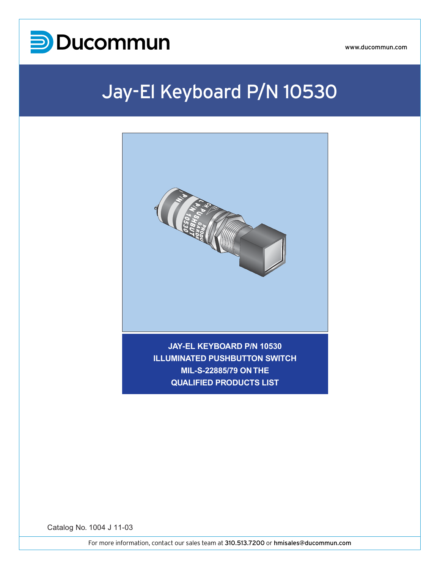

www.ducommun.com

### Jay-El Keyboard P/N 10530



**ILLUMINATED PUSHBUTTON SWITCH MIL-S-22885/79 ON THE QUALIFIED PRODUCTS LIST**

Catalog No. 1004 J 11-03

MARK 7 P/N 10800

PUSHBUTTON SWITCH O QPL MIL-S-22885

For more information, contact our sales team at 310.513.7200 or hmisales@ducommun.com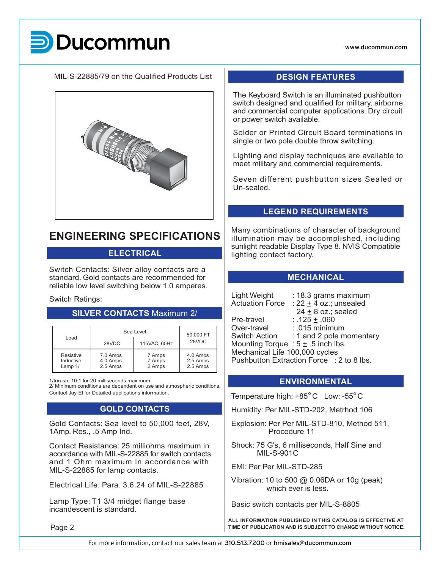www.ducommun.com

# **UCOM**

MIL-S-22885/79 on the Qualified Products List



### **ENGINEERING SPECIFICATIONS**

#### **ELECTRICAL**

Switch Contacts: Silver alloy contacts are a standard. Gold contacts are recommended for reliable low level switching below 1.0 amperes.

#### Switch Ratings:

#### **SILVER CONTACTS** Maximum 2/

| Load                              | Sea Level                        | 50,000 FT                  |                                  |  |
|-----------------------------------|----------------------------------|----------------------------|----------------------------------|--|
|                                   | 28VDC                            | 115VAC, 60Hz               | 28VDC                            |  |
| Resistive<br>Inductive<br>Lamp 1/ | 7.0 Amps<br>4.0 Amps<br>2.5 Amps | 7 Amps<br>7 Amps<br>2 Amps | 4.0 Amps<br>2.5 Amps<br>2.5 Amps |  |

1/Inrush, 10:1 for 20 milliseconds maximum.

2/ Minimum conditions are dependent on use and atmospheric conditions. Contact Jay-El for Detailed applications information.

#### **GOLD CONTACTS**

Gold Contacts: Sea level to 50,000 feet, 28V, 1Amp. Res., .5 Amp Ind.

Contact Resistance: 25 milliohms maximum in accordance with MIL-S-22885 for switch contacts and 1 Ohm maximum in accordance with MIL-S-22885 for lamp contacts.

Electrical Life: Para. 3.6.24 of MIL-S-22885

Lamp Type: T1 3/4 midget flange base incandescent is standard.

Page 2

#### **DESIGN FEATURES**

The Keyboard Switch is an illuminated pushbutton switch designed and qualified for military, airborne and commercial computer applications. Dry circuit or power switch available.

Solder or Printed Circuit Board terminations in single or two pole double throw switching.

Lighting and display techniques are available to meet military and commercial requirements.

Seven different pushbutton sizes Sealed or Un-sealed.

#### **LEGEND REQUIREMENTS**

Many combinations of character of background illumination may be accomplished, including sunlight readable Display Type 8. NVIS Compatible lighting contact factory.

#### **MECHANICAL**

Light Weight : 18.3 grams maximum

Actuation Force :  $22 \pm 4$  oz.; unsealed  $24 \pm 8$  oz.; sealed Pre-travel : .125 ± .060<br>Over-travel : .015 minimu Over-travel : .015 minimum<br>Switch Action : 1 and 2 pole m : 1 and 2 pole momentary Mounting Torque :  $5 \pm .5$  inch lbs. Mechanical Life 100,000 cycles Pushbutton Extraction Force : 2 to 8 lbs.

#### **ENVIRONMENTAL**

Temperature high:  $+85^{\circ}$ C Low:  $-55^{\circ}$ C

Humidity: Per MIL-STD-202, Metrhod 106

- Explosion: Per Per MIL-STD-810, Method 511, Procedure 11
- Shock: 75 G's, 6 milliseconds, Half Sine and MIL-S-901C

EMI: Per Per MIL-STD-285

Vibration: 10 to 500 @ 0.06DA or 10g (peak) which ever is less.

Basic switch contacts per MIL-S-8805

**ALL INFORMATION PUBLISHED IN THIS CATALOG IS EFFECTIVE AT TIME OF PUBLICATION AND IS SUBJECT TO CHANGE WITHOUT NOTICE.**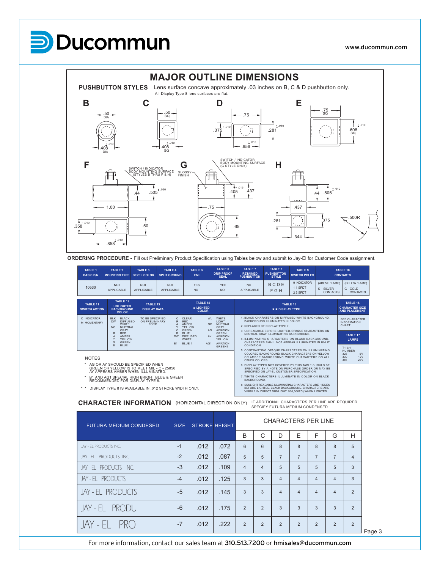## Ducommun



**ORDERING PROCEDURE -** Fill out Preliminary Product Specification using Tables below and submit to Jay-El for Customer Code assignment.

| <b>TABLE 1</b><br><b>BASIC P/N</b> | <b>TABLE 2</b><br><b>MOUNTING TYPE</b>                                                               | TABLE 3<br><b>BEZEL COLOR</b>                     | <b>TABLE 4</b><br><b>SPLIT GROUND</b> | <b>TABLE 5</b><br><b>EMI</b>                                                      | TABLE 6<br><b>DRIP PROOF</b><br><b>SEAL</b>                                               | <b>TABLE 7</b><br><b>RETAINED</b><br><b>PUSHBUTTON</b>                                  | TABLE 8<br><b>PUSHBUTTON</b><br><b>STYLE</b>                       | TABLE 9<br><b>SWITCH POLES</b>                                                                      | TABLE 10<br><b>CONTACTS</b>                                       |                                                           |  |
|------------------------------------|------------------------------------------------------------------------------------------------------|---------------------------------------------------|---------------------------------------|-----------------------------------------------------------------------------------|-------------------------------------------------------------------------------------------|-----------------------------------------------------------------------------------------|--------------------------------------------------------------------|-----------------------------------------------------------------------------------------------------|-------------------------------------------------------------------|-----------------------------------------------------------|--|
| 10530                              | <b>NOT</b><br><b>APPLICABLE</b>                                                                      | <b>NOT</b><br>APPI ICABLE                         | <b>NOT</b><br><b>APPLICABLE</b>       | <b>YFS</b><br><b>NO</b>                                                           | <b>YES</b><br><b>NO</b>                                                                   | <b>NOT</b><br><b>APPLICABLE</b>                                                         | BCDE<br>F G H                                                      | 0 INDICATOR<br>11 SPDT<br>22 SPDT                                                                   | (ABOVE 1 AMP)<br>$\mathbf{s}$<br><b>SILVER</b><br><b>CONTACTS</b> | (BELOW 1 AMP)<br>G GOLD<br><b>CONTACTS</b>                |  |
| TABLE 11<br><b>SWITCH ACTION</b>   | TABLE 12<br><b>UNLIGHTED</b><br><b>BACKGROUND</b><br><b>COLOR</b>                                    | TABLE 13<br><b>DISPLAY DATA</b>                   |                                       | * LIGHTED                                                                         | <b>TABLE 14</b><br><b>COLOR</b>                                                           |                                                                                         | * * DISPLAY TYPE                                                   | TABLE 15                                                                                            |                                                                   | TABLE 16<br><b>CHARACTER SIZE</b><br><b>AND PLACEMENT</b> |  |
| O INDICATOR<br>M MOMENTARY         | <b>BIK</b><br><b>BLACK</b><br><b>DIFFUSED</b><br><b>DW</b><br>WHITE.<br>NG<br>NUETRAL<br><b>GRAY</b> | TO BE SPECIFIED.<br>ON PRELIMINARY<br><b>FORM</b> | А                                     | CLEAR<br>$\mathcal{C}$<br><b>RED</b><br>R<br>AMBER<br>YELLOW<br>G<br><b>GREEN</b> | WI<br><b>WHITE</b><br>LIGHT<br>NUETRAL<br>N <sub>G</sub><br>GRAY<br><b>AVIATION</b><br>AG |                                                                                         | BACKGROUND ILLUMINATES IN COLOR.<br>2. REPLACED BY DISPLAY TYPE 7. | 1 BLACK CHARATERS ON DIFFUSED WHITE BACKGROUND.<br>3 UNREADABLE BEEORE LIGHTED OPAQUE CHARACTERS ON |                                                                   | <b>SEE CHARACTER</b><br><b>INFORMATION</b><br>CHART       |  |
|                                    | <b>RED</b><br>R<br><b>AMBER</b><br>A<br><b>YELLOW</b>                                                |                                                   | B<br><b>DW</b>                        | <b>BLUE</b><br>DIFFUSED<br><b>WHITE</b>                                           | <b>GREEN</b><br><b>AVIATION</b><br>AY<br>YELLOW                                           | NEUTRAL GRAY ILLUMINATING BACKGROUND<br>4. ILLUMINATING CHARACTERS ON BLACK BACKGROUND. |                                                                    | <b>TABLE 17</b><br><b>LAMPS</b>                                                                     |                                                                   |                                                           |  |

AG1 AVIATION GREEN1

\* AG OR AY SHOULD BE SPECIFIED WHEN GREEN OR YELLOW IS TO MEET MIL - C - 25050 AY APPEARS AMBER WHEN ILLUMINATED.

B1 AND AG1 SPECIAL HIGH BRIGHT BLUE & GREEN RECOMMENDED FOR DISPLAY TYPE 8.

WHITE<br>
NG NUETRAL<br>
R RED<br>
A AMBER<br>
Y YELLOW<br>
G GREEN<br>
BLUE<br>
BLUE

\* \* DISPLAY TYPE 8 IS AVAILABLE IN .012 STROKE WIDTH ONLY.

A AMBER Y YELLOW G GREEN B BLUE DW DIFFUSED WHITE B1 BLUE 1

**CHARACTER INFORMATION** (HORIZONTAL DIRECTION ONLY) IF ADDITIONAL CHARACTERS PER LINE ARE REQUIRED SPECIFY FUTURA MEDIUM CONDENSED.

3. UNREADABLE BEFORE LIGHTED. OPAQUE CHARACTERS ON NEUTRAL GRAY ILLUMINATING BACKGROUND. 4. ILLUMINATING CHARACTERS ON BLACK BACKGROUND. CHARACTERS SHALL NOT APPEAR ILLUMINATED IN UNLIT CONDITION. 5. CONTRASTING OPAQUE CHARACTERS ON ILLUMINATING COLORED BACKGROUND. BLACK CHARACTERS ON YELLOW OR AMBER BACKGROUND. WHITE CHARACTERS ON ALL OTHER COLORS. 6. DISPLAY TYPES NOT COVERED BY THIS TABLE SHOULD BE SPECIFIED BY A NOTE ON PURCHASE ORDER OR MAY BE SPECIFIED ON JAY-EL CUSTOMER SPECIFICATION. 7. WHITE CHARACTERS ILLUMINATE IN COLOR ON BLACK BACKGROUND. 8. SUNLIGHT READABLE ILLUMINATING CHARACTERS ARE HIDDEN BEFORE LIGHTED. BLACK BACKGROUND. CHARACTERS ARE VISIBLE IN DIRECT SUNLIGHT. 910,000FC) WHEN LIGHTED.

T1 3/4 NUMBER 328 5V 330 12V 328<br>330<br>387

| <b>FUTURA MEDIUM CONDESED</b> | <b>SIZE</b> |      | <b>STROKE HEIGHT</b> | <b>CHARACTERS PER LINE</b> |                |                |                |                |                |                |        |
|-------------------------------|-------------|------|----------------------|----------------------------|----------------|----------------|----------------|----------------|----------------|----------------|--------|
|                               |             |      |                      | B                          | C              | D              | Е              | F              | G              | н              |        |
| JAY - EL PRODUCTS INC.        | $-1$        | .012 | .072                 | 6                          | 6              | 8              | 8              | 8              | 8              | 5              |        |
| JAY - EL PRODUCTS INC.        | $-2$        | .012 | .087                 | 5                          | 5              | $\overline{7}$ | $\overline{7}$ | $\overline{7}$ | $\overline{7}$ | $\overline{4}$ |        |
| JAY - EL PRODUCTS INC.        | $-3$        | .012 | .109                 | $\overline{4}$             | $\overline{4}$ | 5              | 5              | 5              | 5              | 3              |        |
| JAY - EL PRODUCTS             | $-4$        | .012 | .125                 | 3                          | 3              | $\overline{4}$ | $\overline{4}$ | $\overline{4}$ | 4              | 3              |        |
| JAY - EL PRODUCTS             | $-5$        | .012 | .145                 | 3                          | 3              | 4              | $\overline{4}$ | $\overline{4}$ | 4              | $\overline{2}$ |        |
| JAY-EL PRODU                  | $-6$        | .012 | .175                 | 2                          | $\overline{2}$ | 3              | 3              | $\mathcal{R}$  | 3              | $\overline{2}$ |        |
| $JAY - EL$ PRO                | $-7$        | .012 | .222                 | 2                          | 2              | 2              | $\overline{2}$ | 2              | $\overline{2}$ | 2              | Page 3 |

For more information, contact our sales team at 310.513.7200 or hmisales@ducommun.com